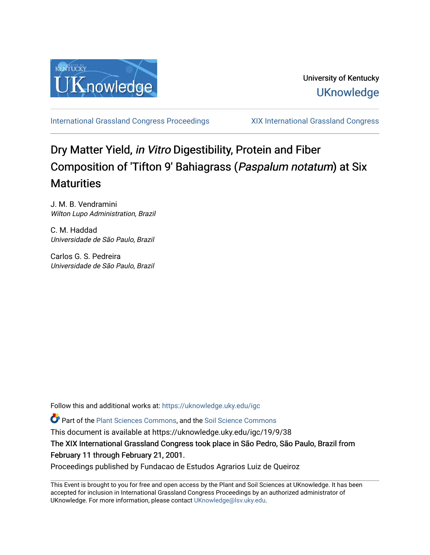

[International Grassland Congress Proceedings](https://uknowledge.uky.edu/igc) [XIX International Grassland Congress](https://uknowledge.uky.edu/igc/19) 

# Dry Matter Yield, in Vitro Digestibility, Protein and Fiber Composition of 'Tifton 9' Bahiagrass (Paspalum notatum) at Six **Maturities**

J. M. B. Vendramini Wilton Lupo Administration, Brazil

C. M. Haddad Universidade de São Paulo, Brazil

Carlos G. S. Pedreira Universidade de São Paulo, Brazil

Follow this and additional works at: [https://uknowledge.uky.edu/igc](https://uknowledge.uky.edu/igc?utm_source=uknowledge.uky.edu%2Figc%2F19%2F9%2F38&utm_medium=PDF&utm_campaign=PDFCoverPages) 

Part of the [Plant Sciences Commons](http://network.bepress.com/hgg/discipline/102?utm_source=uknowledge.uky.edu%2Figc%2F19%2F9%2F38&utm_medium=PDF&utm_campaign=PDFCoverPages), and the [Soil Science Commons](http://network.bepress.com/hgg/discipline/163?utm_source=uknowledge.uky.edu%2Figc%2F19%2F9%2F38&utm_medium=PDF&utm_campaign=PDFCoverPages) 

This document is available at https://uknowledge.uky.edu/igc/19/9/38

The XIX International Grassland Congress took place in São Pedro, São Paulo, Brazil from February 11 through February 21, 2001.

Proceedings published by Fundacao de Estudos Agrarios Luiz de Queiroz

This Event is brought to you for free and open access by the Plant and Soil Sciences at UKnowledge. It has been accepted for inclusion in International Grassland Congress Proceedings by an authorized administrator of UKnowledge. For more information, please contact [UKnowledge@lsv.uky.edu](mailto:UKnowledge@lsv.uky.edu).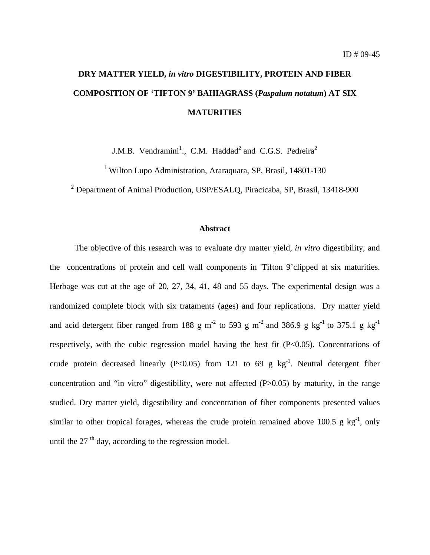# **DRY MATTER YIELD,** *in vitro* **DIGESTIBILITY, PROTEIN AND FIBER COMPOSITION OF 'TIFTON 9' BAHIAGRASS (***Paspalum notatum***) AT SIX MATURITIES**

J.M.B. Vendramini<sup>1</sup>., C.M. Haddad<sup>2</sup> and C.G.S. Pedreira<sup>2</sup>

<sup>1</sup> Wilton Lupo Administration, Araraguara, SP, Brasil, 14801-130

<sup>2</sup> Department of Animal Production, USP/ESALQ, Piracicaba, SP, Brasil, 13418-900

## **Abstract**

The objective of this research was to evaluate dry matter yield, *in vitro* digestibility, and the concentrations of protein and cell wall components in 'Tifton 9'clipped at six maturities. Herbage was cut at the age of 20, 27, 34, 41, 48 and 55 days. The experimental design was a randomized complete block with six trataments (ages) and four replications. Dry matter yield and acid detergent fiber ranged from 188 g m<sup>-2</sup> to 593 g m<sup>-2</sup> and 386.9 g kg<sup>-1</sup> to 375.1 g kg<sup>-1</sup> respectively, with the cubic regression model having the best fit  $(P<0.05)$ . Concentrations of crude protein decreased linearly (P<0.05) from 121 to 69 g  $kg^{-1}$ . Neutral detergent fiber concentration and "in vitro" digestibility, were not affected (P>0.05) by maturity, in the range studied. Dry matter yield, digestibility and concentration of fiber components presented values similar to other tropical forages, whereas the crude protein remained above 100.5 g  $kg^{-1}$ , only until the  $27<sup>th</sup>$  day, according to the regression model.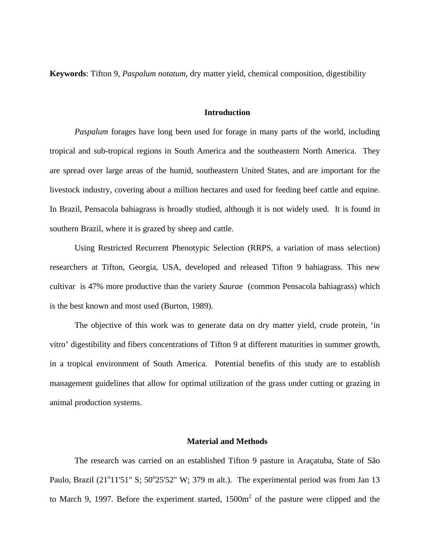**Keywords**: Tifton 9, *Paspalum notatum*, dry matter yield, chemical composition, digestibility

# **Introduction**

*Paspalum* forages have long been used for forage in many parts of the world, including tropical and sub-tropical regions in South America and the southeastern North America. They are spread over large areas of the humid, southeastern United States, and are important for the livestock industry, covering about a million hectares and used for feeding beef cattle and equine. In Brazil, Pensacola bahiagrass is broadly studied, although it is not widely used. It is found in southern Brazil, where it is grazed by sheep and cattle.

Using Restricted Recurrent Phenotypic Selection (RRPS, a variation of mass selection) researchers at Tifton, Georgia, USA, developed and released Tifton 9 bahiagrass. This new cultivar is 47% more productive than the variety *Saurae* (common Pensacola bahiagrass) which is the best known and most used (Burton, 1989).

The objective of this work was to generate data on dry matter yield, crude protein, 'in vitro' digestibility and fibers concentrations of Tifton 9 at different maturities in summer growth, in a tropical environment of South America. Potential benefits of this study are to establish management guidelines that allow for optimal utilization of the grass under cutting or grazing in animal production systems.

### **Material and Methods**

The research was carried on an established Tifton 9 pasture in Araçatuba, State of São Paulo, Brazil (21<sup>o</sup>11'51" S; 50<sup>o</sup>25'52" W; 379 m alt.). The experimental period was from Jan 13 to March 9, 1997. Before the experiment started,  $1500m<sup>2</sup>$  of the pasture were clipped and the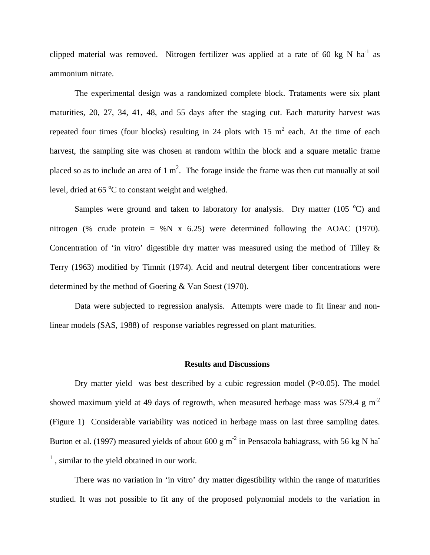clipped material was removed. Nitrogen fertilizer was applied at a rate of 60 kg N ha<sup>-1</sup> as ammonium nitrate.

The experimental design was a randomized complete block. Trataments were six plant maturities, 20, 27, 34, 41, 48, and 55 days after the staging cut. Each maturity harvest was repeated four times (four blocks) resulting in 24 plots with 15  $m^2$  each. At the time of each harvest, the sampling site was chosen at random within the block and a square metalic frame placed so as to include an area of 1 m<sup>2</sup>. The forage inside the frame was then cut manually at soil level, dried at  $65^{\circ}$ C to constant weight and weighed.

Samples were ground and taken to laboratory for analysis. Dry matter  $(105 \text{ °C})$  and nitrogen (% crude protein = %N x 6.25) were determined following the AOAC (1970). Concentration of 'in vitro' digestible dry matter was measured using the method of Tilley & Terry (1963) modified by Timnit (1974). Acid and neutral detergent fiber concentrations were determined by the method of Goering & Van Soest (1970).

Data were subjected to regression analysis. Attempts were made to fit linear and nonlinear models (SAS, 1988) of response variables regressed on plant maturities.

### **Results and Discussions**

Dry matter yield was best described by a cubic regression model  $(P<0.05)$ . The model showed maximum yield at 49 days of regrowth, when measured herbage mass was 579.4 g  $m^{-2}$ (Figure 1) Considerable variability was noticed in herbage mass on last three sampling dates. Burton et al. (1997) measured yields of about 600 g m<sup>-2</sup> in Pensacola bahiagrass, with 56 kg N ha<sup>-</sup> <sup>1</sup>, similar to the yield obtained in our work.

There was no variation in 'in vitro' dry matter digestibility within the range of maturities studied. It was not possible to fit any of the proposed polynomial models to the variation in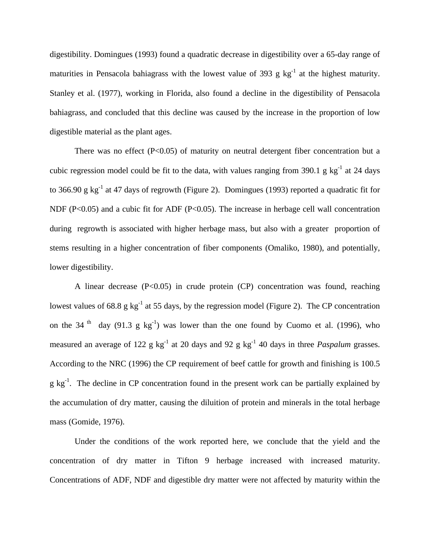digestibility. Domingues (1993) found a quadratic decrease in digestibility over a 65-day range of maturities in Pensacola bahiagrass with the lowest value of 393 g  $kg^{-1}$  at the highest maturity. Stanley et al. (1977), working in Florida, also found a decline in the digestibility of Pensacola bahiagrass, and concluded that this decline was caused by the increase in the proportion of low digestible material as the plant ages.

There was no effect (P<0.05) of maturity on neutral detergent fiber concentration but a cubic regression model could be fit to the data, with values ranging from 390.1 g  $kg^{-1}$  at 24 days to 366.90 g  $kg^{-1}$  at 47 days of regrowth (Figure 2). Domingues (1993) reported a quadratic fit for NDF ( $P<0.05$ ) and a cubic fit for ADF ( $P<0.05$ ). The increase in herbage cell wall concentration during regrowth is associated with higher herbage mass, but also with a greater proportion of stems resulting in a higher concentration of fiber components (Omaliko, 1980), and potentially, lower digestibility.

A linear decrease  $(P<0.05)$  in crude protein  $(CP)$  concentration was found, reaching lowest values of 68.8 g  $kg^{-1}$  at 55 days, by the regression model (Figure 2). The CP concentration on the 34<sup>th</sup> day (91.3 g kg<sup>-1</sup>) was lower than the one found by Cuomo et al. (1996), who measured an average of 122 g  $kg^{-1}$  at 20 days and 92 g  $kg^{-1}$  40 days in three *Paspalum* grasses. According to the NRC (1996) the CP requirement of beef cattle for growth and finishing is 100.5 g kg-1. The decline in CP concentration found in the present work can be partially explained by the accumulation of dry matter, causing the diluition of protein and minerals in the total herbage mass (Gomide, 1976).

Under the conditions of the work reported here, we conclude that the yield and the concentration of dry matter in Tifton 9 herbage increased with increased maturity. Concentrations of ADF, NDF and digestible dry matter were not affected by maturity within the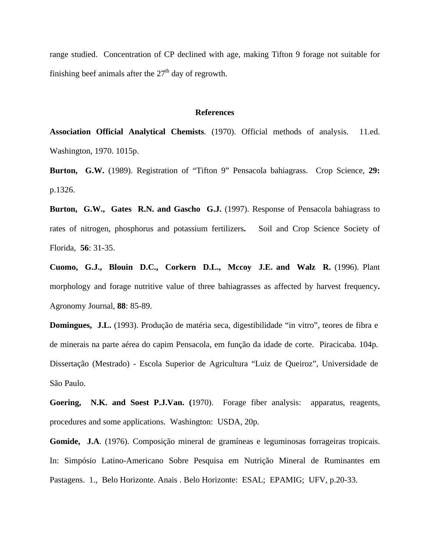range studied. Concentration of CP declined with age, making Tifton 9 forage not suitable for finishing beef animals after the  $27<sup>th</sup>$  day of regrowth.

#### **References**

**Association Official Analytical Chemists**. (1970). Official methods of analysis. 11.ed. Washington, 1970. 1015p.

**Burton, G.W.** (1989). Registration of "Tifton 9" Pensacola bahiagrass. Crop Science, **29:** p.1326.

**Burton, G.W., Gates R.N. and Gascho G.J.** (1997). Response of Pensacola bahiagrass to rates of nitrogen, phosphorus and potassium fertilizers**.** Soil and Crop Science Society of Florida, **56**: 31-35.

**Cuomo, G.J., Blouin D.C., Corkern D.L., Mccoy J.E. and Walz R.** (1996). Plant morphology and forage nutritive value of three bahiagrasses as affected by harvest frequency**.** Agronomy Journal, **88**: 85-89.

**Domingues, J.L.** (1993). Produção de matéria seca, digestibilidade "in vitro", teores de fibra e de minerais na parte aérea do capim Pensacola, em função da idade de corte. Piracicaba. 104p. Dissertação (Mestrado) - Escola Superior de Agricultura "Luiz de Queiroz", Universidade de São Paulo.

**Goering, N.K. and Soest P.J.Van. (**1970).Forage fiber analysis: apparatus, reagents, procedures and some applications. Washington: USDA, 20p.

**Gomide, J.A**. (1976). Composição mineral de gramíneas e leguminosas forrageiras tropicais. In: Simpósio Latino-Americano Sobre Pesquisa em Nutrição Mineral de Ruminantes em Pastagens. 1., Belo Horizonte. Anais . Belo Horizonte: ESAL; EPAMIG; UFV, p.20-33.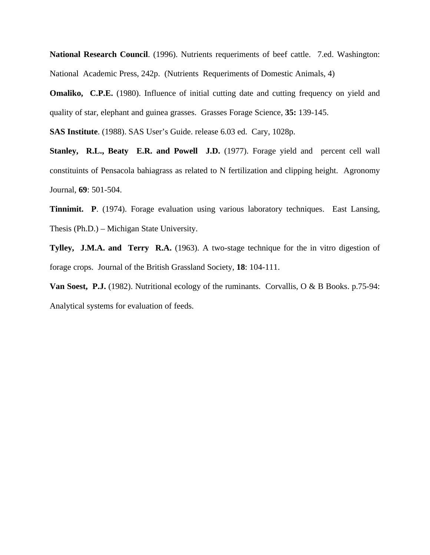**National Research Council**. (1996). Nutrients requeriments of beef cattle. 7.ed. Washington: National Academic Press, 242p. (Nutrients Requeriments of Domestic Animals, 4)

**Omaliko, C.P.E.** (1980). Influence of initial cutting date and cutting frequency on yield and quality of star, elephant and guinea grasses. Grasses Forage Science, **35:** 139-145.

**SAS Institute**. (1988). SAS User's Guide. release 6.03 ed. Cary, 1028p.

**Stanley, R.L., Beaty E.R. and Powell J.D.** (1977). Forage yield and percent cell wall constituints of Pensacola bahiagrass as related to N fertilization and clipping height. Agronomy Journal, **69**: 501-504.

**Tinnimit. P**. (1974). Forage evaluation using various laboratory techniques. East Lansing, Thesis (Ph.D.) – Michigan State University.

**Tylley, J.M.A. and Terry R.A.** (1963). A two-stage technique for the in vitro digestion of forage crops. Journal of the British Grassland Society, **18**: 104-111.

**Van Soest, P.J.** (1982). Nutritional ecology of the ruminants. Corvallis, O & B Books. p.75-94: Analytical systems for evaluation of feeds.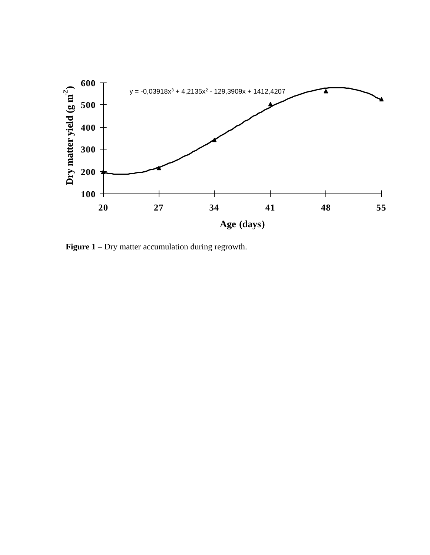

**Figure 1** – Dry matter accumulation during regrowth.